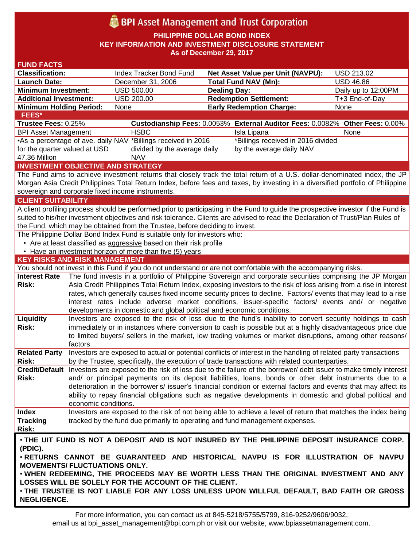# **BPI** Asset Management and Trust Corporation

**PHILIPPINE DOLLAR BOND INDEX**

**KEY INFORMATION AND INVESTMENT DISCLOSURE STATEMENT**

**As of December 29, 2017**

| <b>FUND FACTS</b>                        |                      |                                                                              |                                                                                                                                                                                                                              |                     |
|------------------------------------------|----------------------|------------------------------------------------------------------------------|------------------------------------------------------------------------------------------------------------------------------------------------------------------------------------------------------------------------------|---------------------|
| <b>Classification:</b>                   |                      | <b>Index Tracker Bond Fund</b>                                               | Net Asset Value per Unit (NAVPU):                                                                                                                                                                                            | <b>USD 213.02</b>   |
| <b>Launch Date:</b>                      |                      | December 31, 2006                                                            | <b>Total Fund NAV (Mn):</b>                                                                                                                                                                                                  | <b>USD 46.86</b>    |
| <b>Minimum Investment:</b>               |                      | <b>USD 500.00</b>                                                            | <b>Dealing Day:</b>                                                                                                                                                                                                          | Daily up to 12:00PM |
| <b>Additional Investment:</b>            |                      | <b>USD 200.00</b>                                                            | <b>Redemption Settlement:</b>                                                                                                                                                                                                | T+3 End-of-Day      |
| <b>Minimum Holding Period:</b>           |                      | None                                                                         | <b>Early Redemption Charge:</b>                                                                                                                                                                                              | None                |
| <b>FEES*</b>                             |                      |                                                                              |                                                                                                                                                                                                                              |                     |
| Trustee Fees: 0.25%                      |                      |                                                                              | Custodianship Fees: 0.0053% External Auditor Fees: 0.0082% Other Fees: 0.00%                                                                                                                                                 |                     |
| <b>BPI Asset Management</b>              |                      | <b>HSBC</b>                                                                  | Isla Lipana                                                                                                                                                                                                                  | None                |
|                                          |                      | •As a percentage of ave. daily NAV *Billings received in 2016                | *Billings received in 2016 divided                                                                                                                                                                                           |                     |
| for the quarter valued at USD            |                      | divided by the average daily                                                 | by the average daily NAV                                                                                                                                                                                                     |                     |
| 47.36 Million                            |                      | <b>NAV</b>                                                                   |                                                                                                                                                                                                                              |                     |
| <b>INVESTMENT OBJECTIVE AND STRATEGY</b> |                      |                                                                              |                                                                                                                                                                                                                              |                     |
|                                          |                      |                                                                              | The Fund aims to achieve investment returns that closely track the total return of a U.S. dollar-denominated index, the JP                                                                                                   |                     |
|                                          |                      |                                                                              | Morgan Asia Credit Philippines Total Return Index, before fees and taxes, by investing in a diversified portfolio of Philippine                                                                                              |                     |
|                                          |                      | sovereign and corporate fixed income instruments.                            |                                                                                                                                                                                                                              |                     |
| <b>CLIENT SUITABILITY</b>                |                      |                                                                              |                                                                                                                                                                                                                              |                     |
|                                          |                      |                                                                              | A client profiling process should be performed prior to participating in the Fund to guide the prospective investor if the Fund is                                                                                           |                     |
|                                          |                      |                                                                              | suited to his/her investment objectives and risk tolerance. Clients are advised to read the Declaration of Trust/Plan Rules of                                                                                               |                     |
|                                          |                      | the Fund, which may be obtained from the Trustee, before deciding to invest. |                                                                                                                                                                                                                              |                     |
|                                          |                      | The Philippine Dollar Bond Index Fund is suitable only for investors who:    |                                                                                                                                                                                                                              |                     |
|                                          |                      | • Are at least classified as aggressive based on their risk profile          |                                                                                                                                                                                                                              |                     |
|                                          |                      | • Have an investment horizon of more than five (5) years                     |                                                                                                                                                                                                                              |                     |
| <b>KEY RISKS AND RISK MANAGEMENT</b>     |                      |                                                                              |                                                                                                                                                                                                                              |                     |
|                                          |                      |                                                                              | You should not invest in this Fund if you do not understand or are not comfortable with the accompanying risks.<br>The fund invests in a portfolio of Philippine Sovereign and corporate securities comprising the JP Morgan |                     |
| <b>Interest Rate</b>                     |                      |                                                                              |                                                                                                                                                                                                                              |                     |
|                                          |                      |                                                                              |                                                                                                                                                                                                                              |                     |
| <b>Risk:</b>                             |                      |                                                                              | Asia Credit Philippines Total Return Index, exposing investors to the risk of loss arising from a rise in interest                                                                                                           |                     |
|                                          |                      |                                                                              | rates, which generally causes fixed income security prices to decline. Factors/ events that may lead to a rise                                                                                                               |                     |
|                                          |                      |                                                                              | interest rates include adverse market conditions, issuer-specific factors/ events and/ or negative                                                                                                                           |                     |
|                                          |                      | developments in domestic and global political and economic conditions.       |                                                                                                                                                                                                                              |                     |
| Liquidity                                |                      |                                                                              | Investors are exposed to the risk of loss due to the fund's inability to convert security holdings to cash                                                                                                                   |                     |
| <b>Risk:</b>                             |                      |                                                                              | immediately or in instances where conversion to cash is possible but at a highly disadvantageous price due                                                                                                                   |                     |
|                                          |                      |                                                                              | to limited buyers/ sellers in the market, low trading volumes or market disruptions, among other reasons/                                                                                                                    |                     |
|                                          | factors.             |                                                                              |                                                                                                                                                                                                                              |                     |
| <b>Related Party</b>                     |                      |                                                                              | Investors are exposed to actual or potential conflicts of interest in the handling of related party transactions                                                                                                             |                     |
| <b>Risk:</b>                             |                      |                                                                              | by the Trustee, specifically, the execution of trade transactions with related counterparties.                                                                                                                               |                     |
|                                          |                      |                                                                              | Credit/Default Investors are exposed to the risk of loss due to the failure of the borrower/ debt issuer to make timely interest                                                                                             |                     |
| <b>Risk:</b>                             |                      |                                                                              | and/ or principal payments on its deposit liabilities, loans, bonds or other debt instruments due to a                                                                                                                       |                     |
|                                          |                      |                                                                              | deterioration in the borrower's/ issuer's financial condition or external factors and events that may affect its                                                                                                             |                     |
|                                          |                      |                                                                              | ability to repay financial obligations such as negative developments in domestic and global political and                                                                                                                    |                     |
|                                          | economic conditions. |                                                                              |                                                                                                                                                                                                                              |                     |
| <b>Index</b>                             |                      |                                                                              | Investors are exposed to the risk of not being able to achieve a level of return that matches the index being                                                                                                                |                     |
| <b>Tracking</b><br>Risk:                 |                      |                                                                              | tracked by the fund due primarily to operating and fund management expenses.                                                                                                                                                 |                     |
|                                          |                      |                                                                              |                                                                                                                                                                                                                              |                     |
|                                          |                      |                                                                              | . THE UIT FUND IS NOT A DEPOSIT AND IS NOT INSURED BY THE PHILIPPINE DEPOSIT INSURANCE CORP.                                                                                                                                 |                     |
| (PDIC).                                  |                      |                                                                              |                                                                                                                                                                                                                              |                     |
|                                          |                      |                                                                              | . RETURNS CANNOT BE GUARANTEED AND HISTORICAL NAVPU IS FOR ILLUSTRATION OF NAVPU                                                                                                                                             |                     |
| <b>MOVEMENTS/ FLUCTUATIONS ONLY.</b>     |                      |                                                                              |                                                                                                                                                                                                                              |                     |
|                                          |                      |                                                                              | . WHEN REDEEMING, THE PROCEEDS MAY BE WORTH LESS THAN THE ORIGINAL INVESTMENT AND ANY                                                                                                                                        |                     |
|                                          |                      | LOSSES WILL BE SOLELY FOR THE ACCOUNT OF THE CLIENT.                         | . THE TRUSTEE IS NOT LIABLE FOR ANY LOSS UNLESS UPON WILLFUL DEFAULT, BAD FAITH OR GROSS                                                                                                                                     |                     |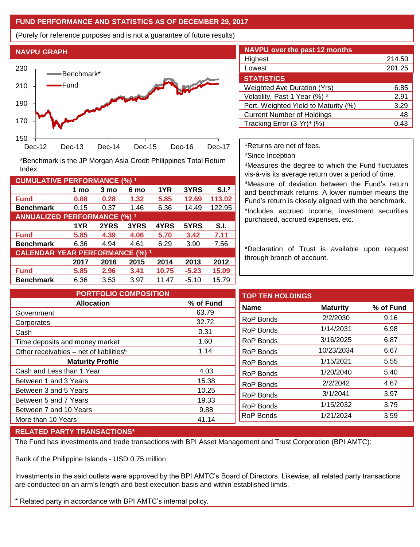### **FUND PERFORMANCE AND STATISTICS AS OF DECEMBER 29, 2017**

(Purely for reference purposes and is not a guarantee of future results)



**Fund 0.08 0.28 1.32 5.85 12.69 113.02 Benchmark** 0.15 0.37 1.46 6.36 14.49 122.95

\*Benchmark is the JP Morgan Asia Credit Philippines Total Return

**Fund 5.85 4.39 4.06 5.70 3.42 7.11 Benchmark** 6.36 4.94 4.61 6.29 3.90 7.56

**Fund 5.85 2.96 3.41 10.75 -5.23 15.09 Benchmark** 6.36 3.53 3.97 11.47 -5.10 15.79

**1 mo 3 mo 6 mo 1YR 3YRS S.I.<sup>2</sup>**

**1YR 2YRS 3YRS 4YRS 5YRS S.I.**

**2017 2016 2015 2014 2013 2012**

| <b>NAVPU over the past 12 months</b> |        |
|--------------------------------------|--------|
| Highest                              | 214.50 |
| Lowest                               | 201.25 |
| <b>STATISTICS</b>                    |        |
| <b>Weighted Ave Duration (Yrs)</b>   | 6.85   |
| Volatility, Past 1 Year (%) 3        | 2.91   |
| Port. Weighted Yield to Maturity (%) | 3.29   |
| <b>Current Number of Holdings</b>    | 48     |
| Tracking Error $(3-Yr)^4$ (%)        | 0.43   |

<sup>1</sup>Returns are net of fees.

<sup>2</sup>Since Inception

<sup>3</sup>Measures the degree to which the Fund fluctuates vis-à-vis its average return over a period of time.

<sup>4</sup>Measure of deviation between the Fund's return and benchmark returns. A lower number means the Fund's return is closely aligned with the benchmark. 5 Includes accrued income, investment securities purchased, accrued expenses, etc.

\*Declaration of Trust is available upon request through branch of account.

| <b>PORTFOLIO COMPOSITION</b>                        |           | <b>TOP TEN HOLDINGS</b> |                 |           |
|-----------------------------------------------------|-----------|-------------------------|-----------------|-----------|
| <b>Allocation</b>                                   | % of Fund | <b>Name</b>             | <b>Maturity</b> | % of Fund |
| Government                                          | 63.79     |                         |                 |           |
| Corporates                                          | 32.72     | RoP Bonds               | 2/2/2030        | 9.16      |
| Cash                                                | 0.31      | RoP Bonds               | 1/14/2031       | 6.98      |
| Time deposits and money market                      | 1.60      | RoP Bonds               | 3/16/2025       | 6.87      |
| Other receivables - net of liabilities <sup>5</sup> | 1.14      | RoP Bonds               | 10/23/2034      | 6.67      |
| <b>Maturity Profile</b>                             |           | RoP Bonds               | 1/15/2021       | 5.55      |
| Cash and Less than 1 Year                           | 4.03      | RoP Bonds               | 1/20/2040       | 5.40      |
| Between 1 and 3 Years                               | 15.38     | <b>RoP Bonds</b>        | 2/2/2042        | 4.67      |
| Between 3 and 5 Years                               | 10.25     |                         | 3/1/2041        | 3.97      |
| Between 5 and 7 Years                               | 19.33     | <b>RoP Bonds</b>        |                 |           |
| Between 7 and 10 Years                              | 9.88      | RoP Bonds               | 1/15/2032       | 3.79      |
| More than 10 Years                                  | 41.14     | <b>RoP Bonds</b>        | 1/21/2024       | 3.59      |

#### **RELATED PARTY TRANSACTIONS\***

**CUMULATIVE PERFORMANCE (%) <sup>1</sup>**

Index

**ANNUALIZED PERFORMANCE (%) <sup>1</sup>**

**CALENDAR YEAR PERFORMANCE (%) <sup>1</sup>**

The Fund has investments and trade transactions with BPI Asset Management and Trust Corporation (BPI AMTC):

Bank of the Philippine Islands - USD 0.75 million

Investments in the said outlets were approved by the BPI AMTC's Board of Directors. Likewise, all related party transactions are conducted on an arm's length and best execution basis and within established limits.

\* Related party in accordance with BPI AMTC's internal policy.